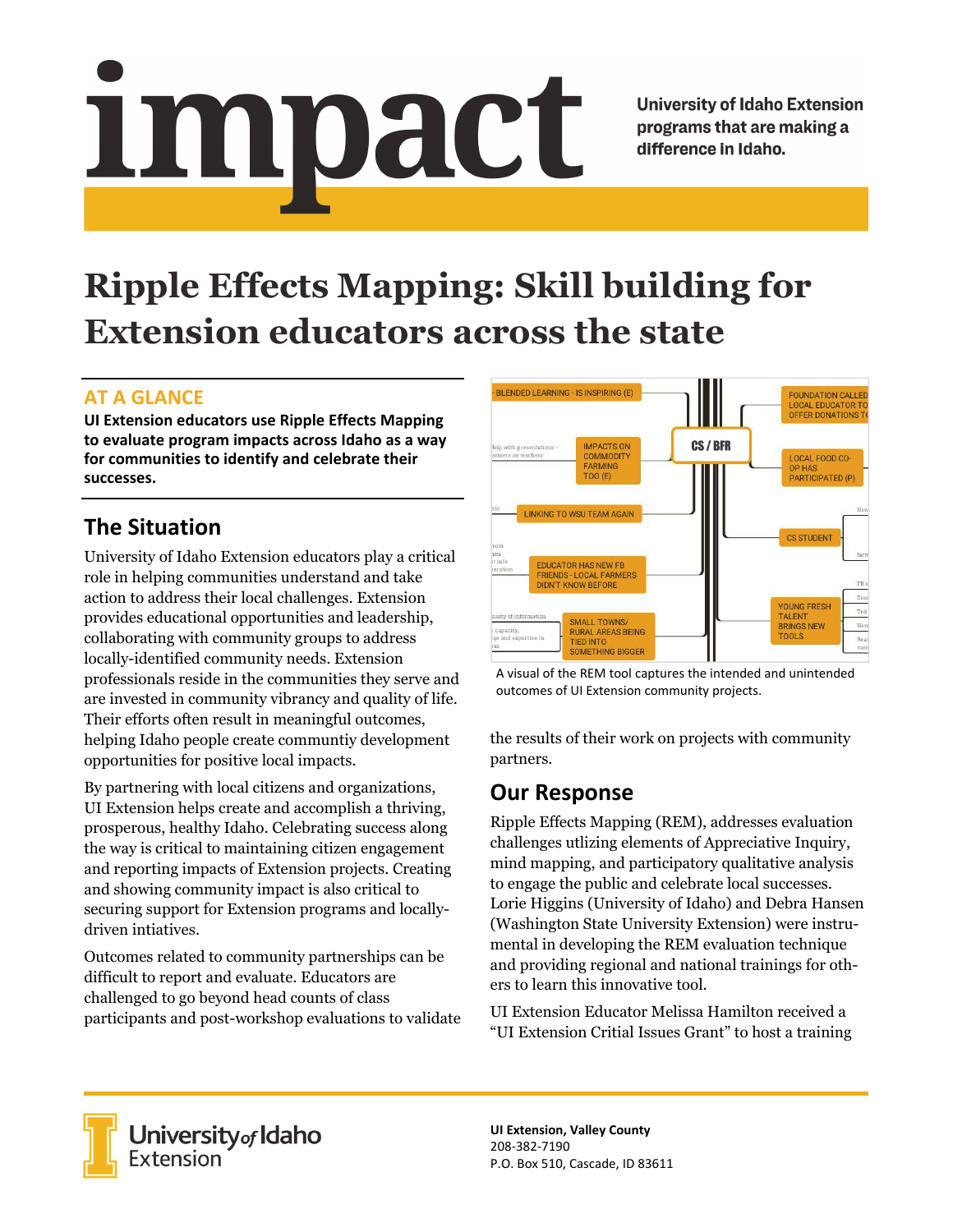# Impact

**University of Idaho Extension** programs that are making a difference in Idaho.

# **Ripple Effects Mapping: Skill building for Extension educators across the state**

### **AT A GLANCE**

**UI Extension educators use Ripple Effects Mapping to evaluate program impacts across Idaho as a way for communities to identify and celebrate their successes.** 

## **The Situation**

University of Idaho Extension educators play a critical role in helping communities understand and take action to address their local challenges. Extension provides educational opportunities and leadership, collaborating with community groups to address locally-identified community needs. Extension professionals reside in the communities they serve and are invested in community vibrancy and quality of life. Their efforts often result in meaningful outcomes, helping Idaho people create communtiy development opportunities for positive local impacts.

By partnering with local citizens and organizations, UI Extension helps create and accomplish a thriving, prosperous, healthy Idaho. Celebrating success along the way is critical to maintaining citizen engagement and reporting impacts of Extension projects. Creating and showing community impact is also critical to securing support for Extension programs and locallydriven intiatives.

Outcomes related to community partnerships can be difficult to report and evaluate. Educators are challenged to go beyond head counts of class participants and post-workshop evaluations to validate



A visual of the REM tool captures the intended and unintended outcomes of UI Extension community projects.

the results of their work on projects with community partners.

### **Our Response**

Ripple Effects Mapping (REM), addresses evaluation challenges utlizing elements of Appreciative Inquiry, mind mapping, and participatory qualitative analysis to engage the public and celebrate local successes. Lorie Higgins (University of Idaho) and Debra Hansen (Washington State University Extension) were instrumental in developing the REM evaluation technique and providing regional and national trainings for others to learn this innovative tool.

UI Extension Educator Melissa Hamilton received a "UI Extension Critial Issues Grant" to host a training



**University<sub>of</sub> Idaho**<br>Extension

**UI Extension, Valley County**  208‐382‐7190 P.O. Box 510, Cascade, ID 83611